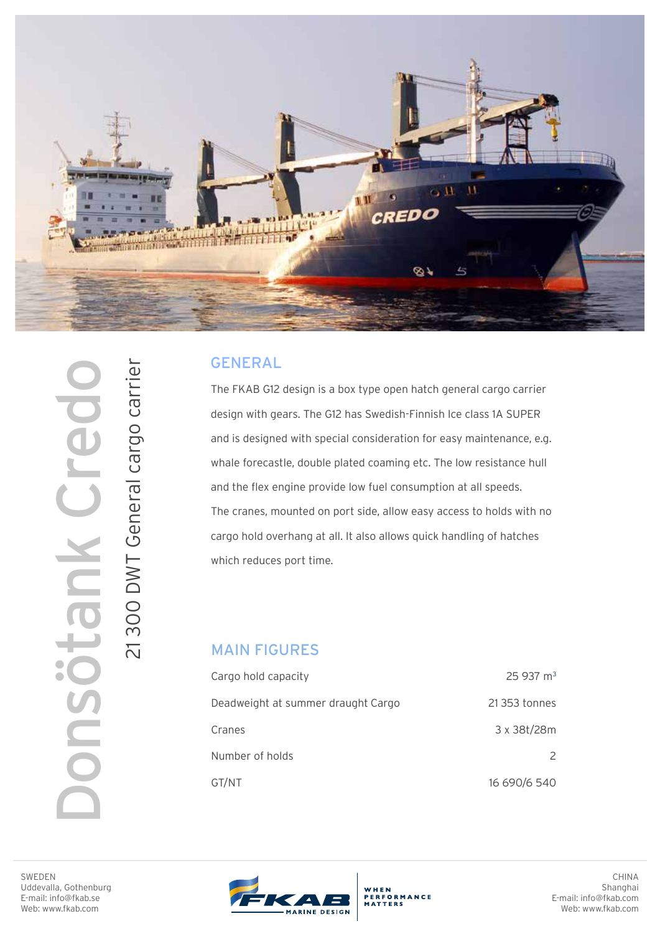

## GENERAL

The FKAB G12 design is a box type open hatch general cargo carrier design with gears. The G12 has Swedish-Finnish Ice class 1A SUPER and is designed with special consideration for easy maintenance, e.g. whale forecastle, double plated coaming etc. The low resistance hull and the flex engine provide low fuel consumption at all speeds. The cranes, mounted on port side, allow easy access to holds with no cargo hold overhang at all. It also allows quick handling of hatches which reduces port time.

## MAIN FIGURES

| Cargo hold capacity                | $25937 \text{ m}^3$ |
|------------------------------------|---------------------|
| Deadweight at summer draught Cargo | 21 353 tonnes       |
| Cranes                             | 3 x 38t/28m         |
| Number of holds                    | $\mathcal{P}$       |
| GT/NT                              | 16 690/6 540        |

WHEN<br>PERFORMANCE<br>MATTERS

SWEDEN Uddevalla, Gothenburg E-mail: info@fkab.se Web: www.fkab.com

Donsötank Credo

nsötank Cre

21 300 DWT General cargo carrier

21 300 DWT General cargo carrier



CHINA Shanghai E-mail: info@fkab.com Web: www.fkab.com